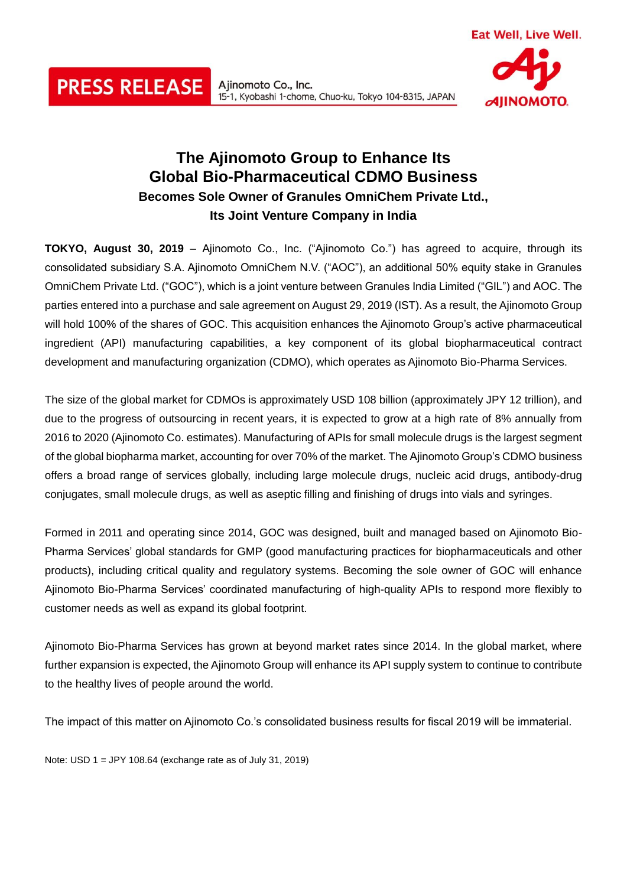# **The Ajinomoto Group to Enhance Its Global Bio-Pharmaceutical CDMO Business Becomes Sole Owner of Granules OmniChem Private Ltd., Its Joint Venture Company in India**

15-1, Kyobashi 1-chome, Chuo-ku, Tokyo 104-8315, JAPAN

**TOKYO, August 30, 2019** – Ajinomoto Co., Inc. ("Ajinomoto Co.") has agreed to acquire, through its consolidated subsidiary S.A. Ajinomoto OmniChem N.V. ("AOC"), an additional 50% equity stake in Granules OmniChem Private Ltd. ("GOC"), which is a joint venture between Granules India Limited ("GIL") and AOC. The parties entered into a purchase and sale agreement on August 29, 2019 (IST). As a result, the Ajinomoto Group will hold 100% of the shares of GOC. This acquisition enhances the Ajinomoto Group's active pharmaceutical ingredient (API) manufacturing capabilities, a key component of its global biopharmaceutical contract development and manufacturing organization (CDMO), which operates as Ajinomoto Bio-Pharma Services.

The size of the global market for CDMOs is approximately USD 108 billion (approximately JPY 12 trillion), and due to the progress of outsourcing in recent years, it is expected to grow at a high rate of 8% annually from 2016 to 2020 (Ajinomoto Co. estimates). Manufacturing of APIs for small molecule drugs is the largest segment of the global biopharma market, accounting for over 70% of the market. The Ajinomoto Group's CDMO business offers a broad range of services globally, including large molecule drugs, nucleic acid drugs, antibody-drug conjugates, small molecule drugs, as well as aseptic filling and finishing of drugs into vials and syringes.

Formed in 2011 and operating since 2014, GOC was designed, built and managed based on Ajinomoto Bio-Pharma Services' global standards for GMP (good manufacturing practices for biopharmaceuticals and other products), including critical quality and regulatory systems. Becoming the sole owner of GOC will enhance Ajinomoto Bio-Pharma Services' coordinated manufacturing of high-quality APIs to respond more flexibly to customer needs as well as expand its global footprint.

Ajinomoto Bio-Pharma Services has grown at beyond market rates since 2014. In the global market, where further expansion is expected, the Ajinomoto Group will enhance its API supply system to continue to contribute to the healthy lives of people around the world.

The impact of this matter on Ajinomoto Co.'s consolidated business results for fiscal 2019 will be immaterial.

Note: USD 1 = JPY 108.64 (exchange rate as of July 31, 2019)

**PRESS RELEASE** Alinomoto Co., Inc.